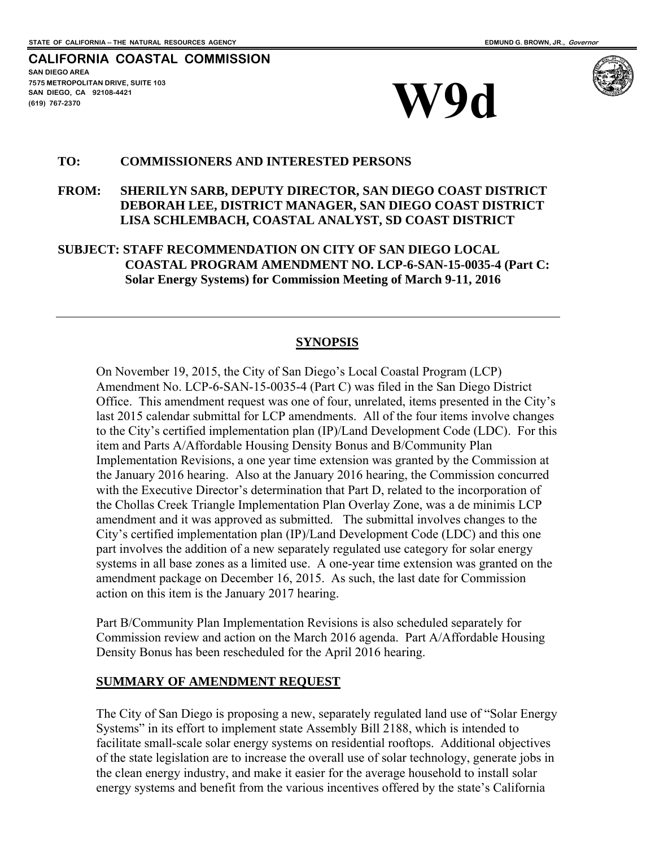### **CALIFORNIA COASTAL COMMISSION SAN DIEGO AREA 7575 METROPOLITAN DRIVE, SUITE 103 SAN DIEGO, CA 92108-4421**  SAN DIEGO, CA 92108-4421<br> **EXAMPLE CO, CA 92108-4421**<br> **W90**





### **TO: COMMISSIONERS AND INTERESTED PERSONS**

## **FROM: SHERILYN SARB, DEPUTY DIRECTOR, SAN DIEGO COAST DISTRICT DEBORAH LEE, DISTRICT MANAGER, SAN DIEGO COAST DISTRICT LISA SCHLEMBACH, COASTAL ANALYST, SD COAST DISTRICT**

**SUBJECT: STAFF RECOMMENDATION ON CITY OF SAN DIEGO LOCAL COASTAL PROGRAM AMENDMENT NO. LCP-6-SAN-15-0035-4 (Part C: Solar Energy Systems) for Commission Meeting of March 9-11, 2016** 

### **SYNOPSIS**

On November 19, 2015, the City of San Diego's Local Coastal Program (LCP) Amendment No. LCP-6-SAN-15-0035-4 (Part C) was filed in the San Diego District Office. This amendment request was one of four, unrelated, items presented in the City's last 2015 calendar submittal for LCP amendments. All of the four items involve changes to the City's certified implementation plan (IP)/Land Development Code (LDC). For this item and Parts A/Affordable Housing Density Bonus and B/Community Plan Implementation Revisions, a one year time extension was granted by the Commission at the January 2016 hearing. Also at the January 2016 hearing, the Commission concurred with the Executive Director's determination that Part D, related to the incorporation of the Chollas Creek Triangle Implementation Plan Overlay Zone, was a de minimis LCP amendment and it was approved as submitted. The submittal involves changes to the City's certified implementation plan (IP)/Land Development Code (LDC) and this one part involves the addition of a new separately regulated use category for solar energy systems in all base zones as a limited use. A one-year time extension was granted on the amendment package on December 16, 2015. As such, the last date for Commission action on this item is the January 2017 hearing.

Part B/Community Plan Implementation Revisions is also scheduled separately for Commission review and action on the March 2016 agenda. Part A/Affordable Housing Density Bonus has been rescheduled for the April 2016 hearing.

### **SUMMARY OF AMENDMENT REQUEST**

The City of San Diego is proposing a new, separately regulated land use of "Solar Energy Systems" in its effort to implement state Assembly Bill 2188, which is intended to facilitate small-scale solar energy systems on residential rooftops. Additional objectives of the state legislation are to increase the overall use of solar technology, generate jobs in the clean energy industry, and make it easier for the average household to install solar energy systems and benefit from the various incentives offered by the state's California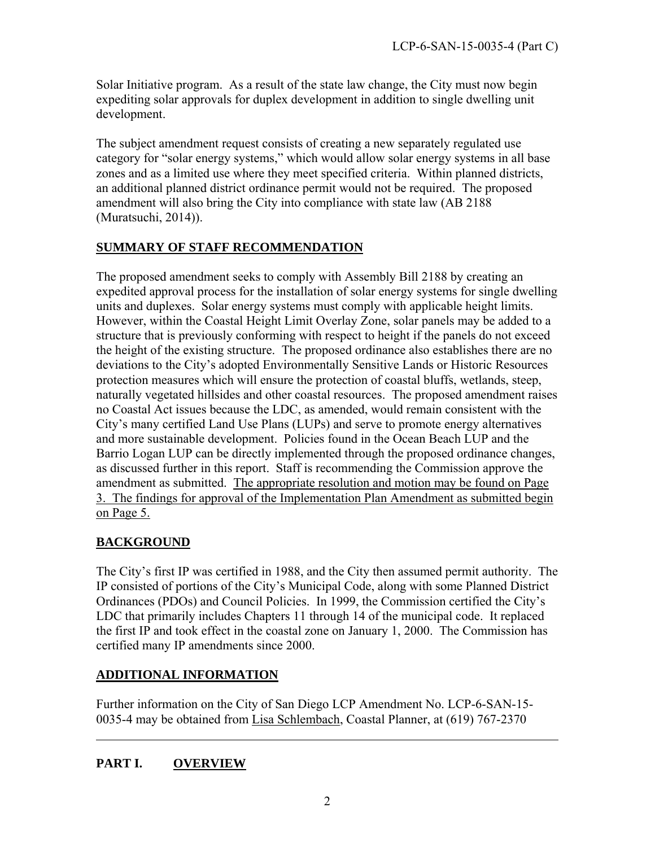Solar Initiative program. As a result of the state law change, the City must now begin expediting solar approvals for duplex development in addition to single dwelling unit development.

The subject amendment request consists of creating a new separately regulated use category for "solar energy systems," which would allow solar energy systems in all base zones and as a limited use where they meet specified criteria. Within planned districts, an additional planned district ordinance permit would not be required. The proposed amendment will also bring the City into compliance with state law (AB 2188 (Muratsuchi, 2014)).

# **SUMMARY OF STAFF RECOMMENDATION**

The proposed amendment seeks to comply with Assembly Bill 2188 by creating an expedited approval process for the installation of solar energy systems for single dwelling units and duplexes. Solar energy systems must comply with applicable height limits. However, within the Coastal Height Limit Overlay Zone, solar panels may be added to a structure that is previously conforming with respect to height if the panels do not exceed the height of the existing structure. The proposed ordinance also establishes there are no deviations to the City's adopted Environmentally Sensitive Lands or Historic Resources protection measures which will ensure the protection of coastal bluffs, wetlands, steep, naturally vegetated hillsides and other coastal resources. The proposed amendment raises no Coastal Act issues because the LDC, as amended, would remain consistent with the City's many certified Land Use Plans (LUPs) and serve to promote energy alternatives and more sustainable development. Policies found in the Ocean Beach LUP and the Barrio Logan LUP can be directly implemented through the proposed ordinance changes, as discussed further in this report. Staff is recommending the Commission approve the amendment as submitted. The appropriate resolution and motion may be found on Page 3. The findings for approval of the Implementation Plan Amendment as submitted begin on Page 5.

# **BACKGROUND**

The City's first IP was certified in 1988, and the City then assumed permit authority. The IP consisted of portions of the City's Municipal Code, along with some Planned District Ordinances (PDOs) and Council Policies. In 1999, the Commission certified the City's LDC that primarily includes Chapters 11 through 14 of the municipal code. It replaced the first IP and took effect in the coastal zone on January 1, 2000. The Commission has certified many IP amendments since 2000.

# **ADDITIONAL INFORMATION**

Further information on the City of San Diego LCP Amendment No. LCP-6-SAN-15- 0035-4 may be obtained from Lisa Schlembach, Coastal Planner, at (619) 767-2370

# **PART I. OVERVIEW**

 $\overline{a}$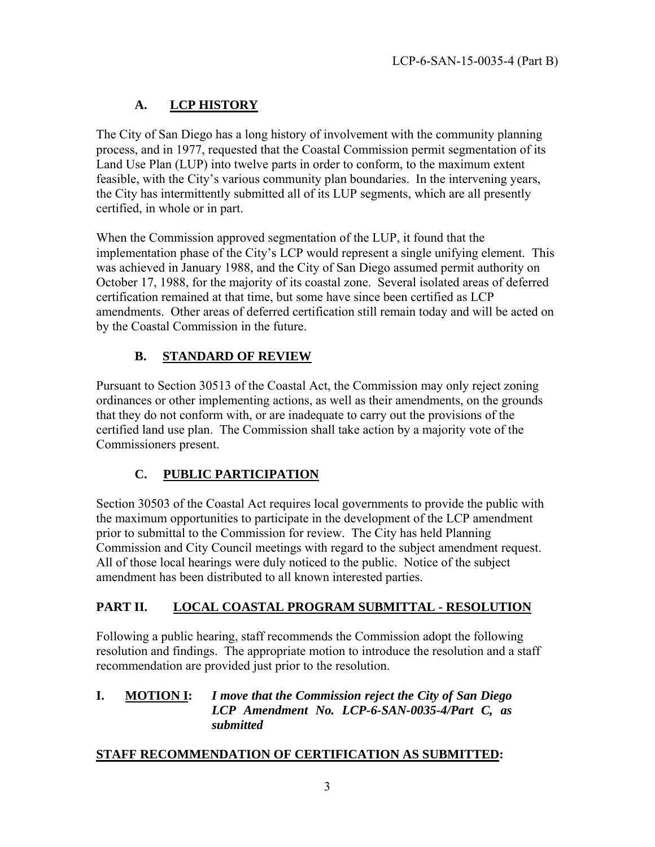# **A. LCP HISTORY**

The City of San Diego has a long history of involvement with the community planning process, and in 1977, requested that the Coastal Commission permit segmentation of its Land Use Plan (LUP) into twelve parts in order to conform, to the maximum extent feasible, with the City's various community plan boundaries. In the intervening years, the City has intermittently submitted all of its LUP segments, which are all presently certified, in whole or in part.

When the Commission approved segmentation of the LUP, it found that the implementation phase of the City's LCP would represent a single unifying element. This was achieved in January 1988, and the City of San Diego assumed permit authority on October 17, 1988, for the majority of its coastal zone. Several isolated areas of deferred certification remained at that time, but some have since been certified as LCP amendments. Other areas of deferred certification still remain today and will be acted on by the Coastal Commission in the future.

# **B. STANDARD OF REVIEW**

Pursuant to Section 30513 of the Coastal Act, the Commission may only reject zoning ordinances or other implementing actions, as well as their amendments, on the grounds that they do not conform with, or are inadequate to carry out the provisions of the certified land use plan. The Commission shall take action by a majority vote of the Commissioners present.

# **C. PUBLIC PARTICIPATION**

Section 30503 of the Coastal Act requires local governments to provide the public with the maximum opportunities to participate in the development of the LCP amendment prior to submittal to the Commission for review. The City has held Planning Commission and City Council meetings with regard to the subject amendment request. All of those local hearings were duly noticed to the public. Notice of the subject amendment has been distributed to all known interested parties.

# **PART II. LOCAL COASTAL PROGRAM SUBMITTAL - RESOLUTION**

Following a public hearing, staff recommends the Commission adopt the following resolution and findings. The appropriate motion to introduce the resolution and a staff recommendation are provided just prior to the resolution.

# **I. MOTION I:** *I move that the Commission reject the City of San Diego LCP Amendment No. LCP-6-SAN-0035-4/Part C, as submitted*

## **STAFF RECOMMENDATION OF CERTIFICATION AS SUBMITTED:**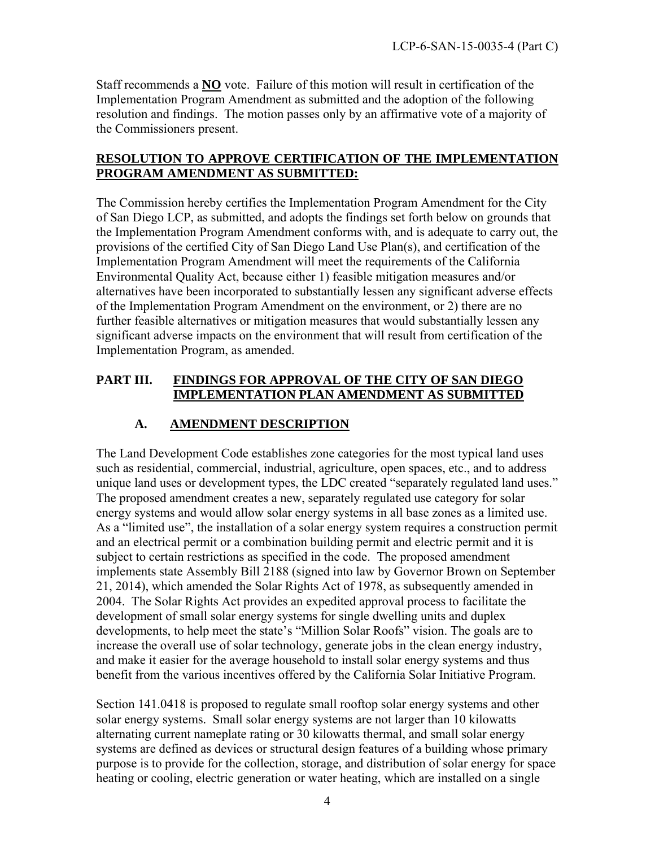Staff recommends a **NO** vote. Failure of this motion will result in certification of the Implementation Program Amendment as submitted and the adoption of the following resolution and findings. The motion passes only by an affirmative vote of a majority of the Commissioners present.

## **RESOLUTION TO APPROVE CERTIFICATION OF THE IMPLEMENTATION PROGRAM AMENDMENT AS SUBMITTED:**

The Commission hereby certifies the Implementation Program Amendment for the City of San Diego LCP, as submitted, and adopts the findings set forth below on grounds that the Implementation Program Amendment conforms with, and is adequate to carry out, the provisions of the certified City of San Diego Land Use Plan(s), and certification of the Implementation Program Amendment will meet the requirements of the California Environmental Quality Act, because either 1) feasible mitigation measures and/or alternatives have been incorporated to substantially lessen any significant adverse effects of the Implementation Program Amendment on the environment, or 2) there are no further feasible alternatives or mitigation measures that would substantially lessen any significant adverse impacts on the environment that will result from certification of the Implementation Program, as amended.

## **PART III. FINDINGS FOR APPROVAL OF THE CITY OF SAN DIEGO IMPLEMENTATION PLAN AMENDMENT AS SUBMITTED**

# **A. AMENDMENT DESCRIPTION**

The Land Development Code establishes zone categories for the most typical land uses such as residential, commercial, industrial, agriculture, open spaces, etc., and to address unique land uses or development types, the LDC created "separately regulated land uses." The proposed amendment creates a new, separately regulated use category for solar energy systems and would allow solar energy systems in all base zones as a limited use. As a "limited use", the installation of a solar energy system requires a construction permit and an electrical permit or a combination building permit and electric permit and it is subject to certain restrictions as specified in the code. The proposed amendment implements state Assembly Bill 2188 (signed into law by Governor Brown on September 21, 2014), which amended the Solar Rights Act of 1978, as subsequently amended in 2004. The Solar Rights Act provides an expedited approval process to facilitate the development of small solar energy systems for single dwelling units and duplex developments, to help meet the state's "Million Solar Roofs" vision. The goals are to increase the overall use of solar technology, generate jobs in the clean energy industry, and make it easier for the average household to install solar energy systems and thus benefit from the various incentives offered by the California Solar Initiative Program.

Section 141.0418 is proposed to regulate small rooftop solar energy systems and other solar energy systems. Small solar energy systems are not larger than 10 kilowatts alternating current nameplate rating or 30 kilowatts thermal, and small solar energy systems are defined as devices or structural design features of a building whose primary purpose is to provide for the collection, storage, and distribution of solar energy for space heating or cooling, electric generation or water heating, which are installed on a single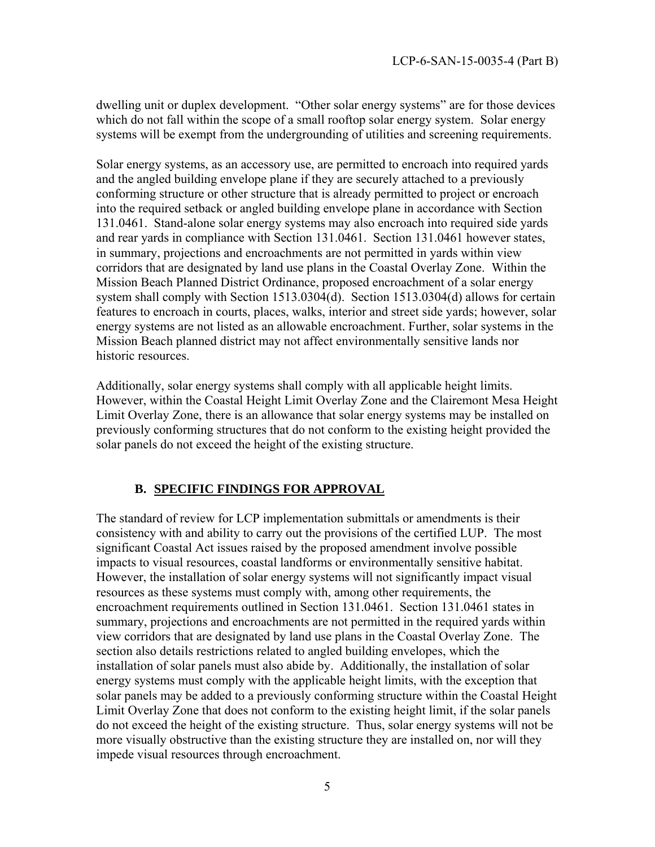dwelling unit or duplex development. "Other solar energy systems" are for those devices which do not fall within the scope of a small rooftop solar energy system. Solar energy systems will be exempt from the undergrounding of utilities and screening requirements.

Solar energy systems, as an accessory use, are permitted to encroach into required yards and the angled building envelope plane if they are securely attached to a previously conforming structure or other structure that is already permitted to project or encroach into the required setback or angled building envelope plane in accordance with Section 131.0461. Stand-alone solar energy systems may also encroach into required side yards and rear yards in compliance with Section 131.0461. Section 131.0461 however states, in summary, projections and encroachments are not permitted in yards within view corridors that are designated by land use plans in the Coastal Overlay Zone. Within the Mission Beach Planned District Ordinance, proposed encroachment of a solar energy system shall comply with Section 1513.0304(d). Section 1513.0304(d) allows for certain features to encroach in courts, places, walks, interior and street side yards; however, solar energy systems are not listed as an allowable encroachment. Further, solar systems in the Mission Beach planned district may not affect environmentally sensitive lands nor historic resources.

Additionally, solar energy systems shall comply with all applicable height limits. However, within the Coastal Height Limit Overlay Zone and the Clairemont Mesa Height Limit Overlay Zone, there is an allowance that solar energy systems may be installed on previously conforming structures that do not conform to the existing height provided the solar panels do not exceed the height of the existing structure.

## **B. SPECIFIC FINDINGS FOR APPROVAL**

The standard of review for LCP implementation submittals or amendments is their consistency with and ability to carry out the provisions of the certified LUP. The most significant Coastal Act issues raised by the proposed amendment involve possible impacts to visual resources, coastal landforms or environmentally sensitive habitat. However, the installation of solar energy systems will not significantly impact visual resources as these systems must comply with, among other requirements, the encroachment requirements outlined in Section 131.0461. Section 131.0461 states in summary, projections and encroachments are not permitted in the required yards within view corridors that are designated by land use plans in the Coastal Overlay Zone. The section also details restrictions related to angled building envelopes, which the installation of solar panels must also abide by. Additionally, the installation of solar energy systems must comply with the applicable height limits, with the exception that solar panels may be added to a previously conforming structure within the Coastal Height Limit Overlay Zone that does not conform to the existing height limit, if the solar panels do not exceed the height of the existing structure. Thus, solar energy systems will not be more visually obstructive than the existing structure they are installed on, nor will they impede visual resources through encroachment.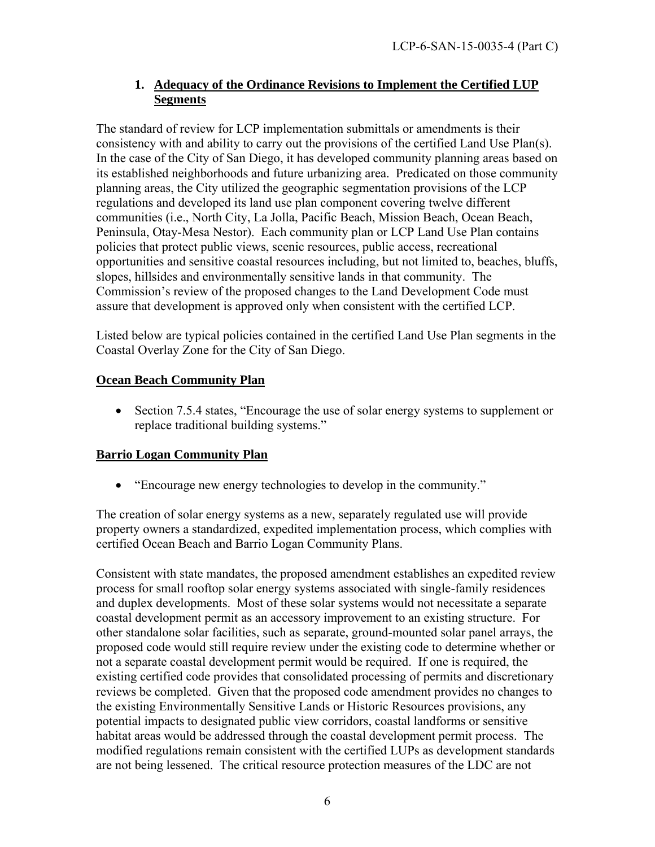# **1. Adequacy of the Ordinance Revisions to Implement the Certified LUP Segments**

The standard of review for LCP implementation submittals or amendments is their consistency with and ability to carry out the provisions of the certified Land Use Plan(s). In the case of the City of San Diego, it has developed community planning areas based on its established neighborhoods and future urbanizing area. Predicated on those community planning areas, the City utilized the geographic segmentation provisions of the LCP regulations and developed its land use plan component covering twelve different communities (i.e., North City, La Jolla, Pacific Beach, Mission Beach, Ocean Beach, Peninsula, Otay-Mesa Nestor). Each community plan or LCP Land Use Plan contains policies that protect public views, scenic resources, public access, recreational opportunities and sensitive coastal resources including, but not limited to, beaches, bluffs, slopes, hillsides and environmentally sensitive lands in that community. The Commission's review of the proposed changes to the Land Development Code must assure that development is approved only when consistent with the certified LCP.

Listed below are typical policies contained in the certified Land Use Plan segments in the Coastal Overlay Zone for the City of San Diego.

# **Ocean Beach Community Plan**

• Section 7.5.4 states, "Encourage the use of solar energy systems to supplement or replace traditional building systems."

# **Barrio Logan Community Plan**

"Encourage new energy technologies to develop in the community."

The creation of solar energy systems as a new, separately regulated use will provide property owners a standardized, expedited implementation process, which complies with certified Ocean Beach and Barrio Logan Community Plans.

Consistent with state mandates, the proposed amendment establishes an expedited review process for small rooftop solar energy systems associated with single-family residences and duplex developments. Most of these solar systems would not necessitate a separate coastal development permit as an accessory improvement to an existing structure. For other standalone solar facilities, such as separate, ground-mounted solar panel arrays, the proposed code would still require review under the existing code to determine whether or not a separate coastal development permit would be required. If one is required, the existing certified code provides that consolidated processing of permits and discretionary reviews be completed. Given that the proposed code amendment provides no changes to the existing Environmentally Sensitive Lands or Historic Resources provisions, any potential impacts to designated public view corridors, coastal landforms or sensitive habitat areas would be addressed through the coastal development permit process. The modified regulations remain consistent with the certified LUPs as development standards are not being lessened. The critical resource protection measures of the LDC are not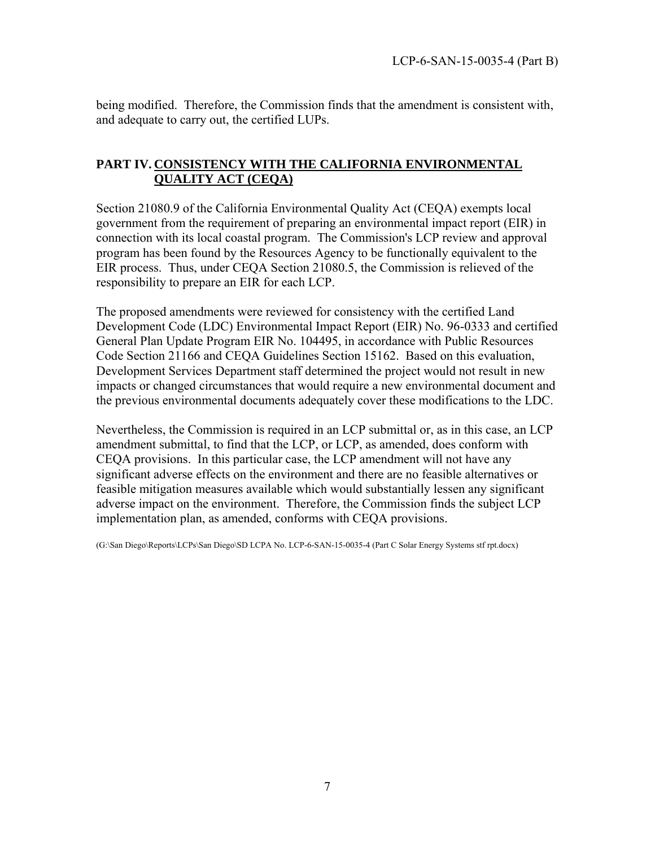being modified. Therefore, the Commission finds that the amendment is consistent with, and adequate to carry out, the certified LUPs.

## **PART IV. CONSISTENCY WITH THE CALIFORNIA ENVIRONMENTAL QUALITY ACT (CEQA)**

Section 21080.9 of the California Environmental Quality Act (CEQA) exempts local government from the requirement of preparing an environmental impact report (EIR) in connection with its local coastal program. The Commission's LCP review and approval program has been found by the Resources Agency to be functionally equivalent to the EIR process. Thus, under CEQA Section 21080.5, the Commission is relieved of the responsibility to prepare an EIR for each LCP.

The proposed amendments were reviewed for consistency with the certified Land Development Code (LDC) Environmental Impact Report (EIR) No. 96-0333 and certified General Plan Update Program EIR No. 104495, in accordance with Public Resources Code Section 21166 and CEQA Guidelines Section 15162. Based on this evaluation, Development Services Department staff determined the project would not result in new impacts or changed circumstances that would require a new environmental document and the previous environmental documents adequately cover these modifications to the LDC.

Nevertheless, the Commission is required in an LCP submittal or, as in this case, an LCP amendment submittal, to find that the LCP, or LCP, as amended, does conform with CEQA provisions. In this particular case, the LCP amendment will not have any significant adverse effects on the environment and there are no feasible alternatives or feasible mitigation measures available which would substantially lessen any significant adverse impact on the environment. Therefore, the Commission finds the subject LCP implementation plan, as amended, conforms with CEQA provisions.

(G:\San Diego\Reports\LCPs\San Diego\SD LCPA No. LCP-6-SAN-15-0035-4 (Part C Solar Energy Systems stf rpt.docx)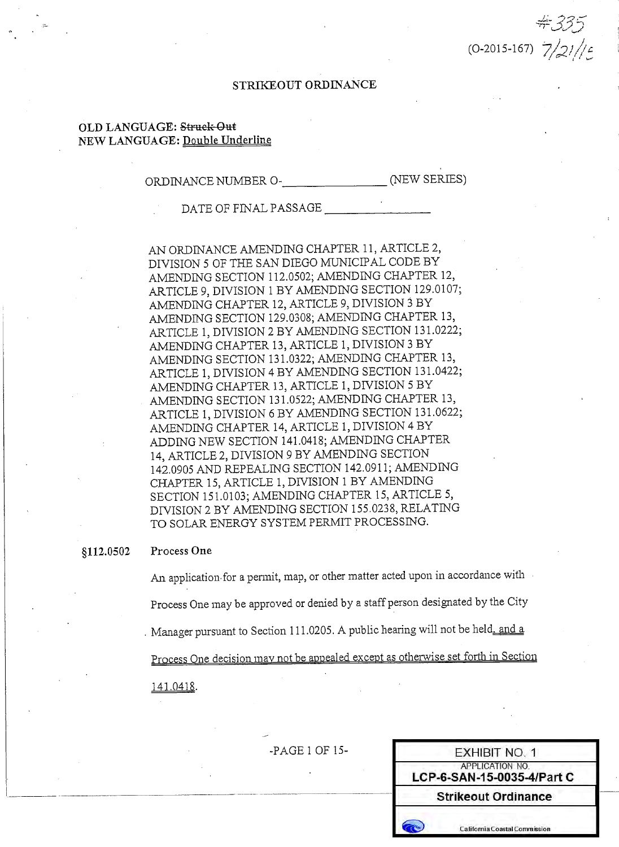$(0-2015-167)$   $7/21/2$ 

### STRIKEOUT ORDINANCE

### OLD LANGUAGE: Struck-Out NEW LANGUAGE: Double Underline

DATE OF FINAL PASSAGE

AN ORDINANCE AMENDING CHAPTER 11, ARTICLE 2, DIVISION 5 OF THE SAN DIEGO MUNICIPAL CODE BY AMENDING SECTION 112.0502; AMENDING CHAPTER 12, ARTICLE 9, DIVISION 1 BY AMENDING SECTION 129.0107; AMENDING CHAPTER 12, ARTICLE 9, DIVISION 3 BY AMENDING SECTION 129.0308; AMENDING CHAPTER 13, ARTICLE 1, DIVISION 2 BY AMENDING SECTION 131.0222; AMENDING CHAPTER 13, ARTICLE 1, DIVISION 3 BY AMENDING SECTION 131.0322; AMENDING CHAPTER 13, ARTICLE 1, DIVISION 4 BY AMENDING SECTION 131.0422; AMENDING CHAPTER 13, ARTICLE 1, DIVISION 5 BY AMENDING SECTION 131.0522; AMENDING CHAPTER 13, ARTICLE 1, DIVISION 6 BY AMENDING SECTION 131.0622; AMENDING CHAPTER 14, ARTICLE 1, DIVISION 4 BY ADDING NEW SECTION 141.0418; AMENDING CHAPTER 14, ARTICLE 2, DIVISION 9 BY AMENDING SECTION 142.0905 AND REPEALING SECTION 142.0911; AMENDING CHAPTER 15, ARTICLE 1, DIVISION 1 BY AMENDING SECTION 151.0103; AMENDING CHAPTER 15, ARTICLE 5, DIVISION 2 BY AMENDING SECTION 155.0238, RELATING TO SOLAR ENERGY SYSTEM PERMIT PROCESSING.

#### Process One 8112.0502

An application for a permit, map, or other matter acted upon in accordance with Process One may be approved or denied by a staff person designated by the City Manager pursuant to Section 111.0205. A public hearing will not be held\_and a Process One decision may not be appealed except as otherwise set forth in Section 141.0418.

-PAGE 1 OF 15-

| EXHIBIT NO. 1                                 |
|-----------------------------------------------|
| APPLICATION NO.<br>LCP-6-SAN-15-0035-4/Part C |
| <b>Strikeout Ordinance</b>                    |
| <b>California Coastal Commission</b>          |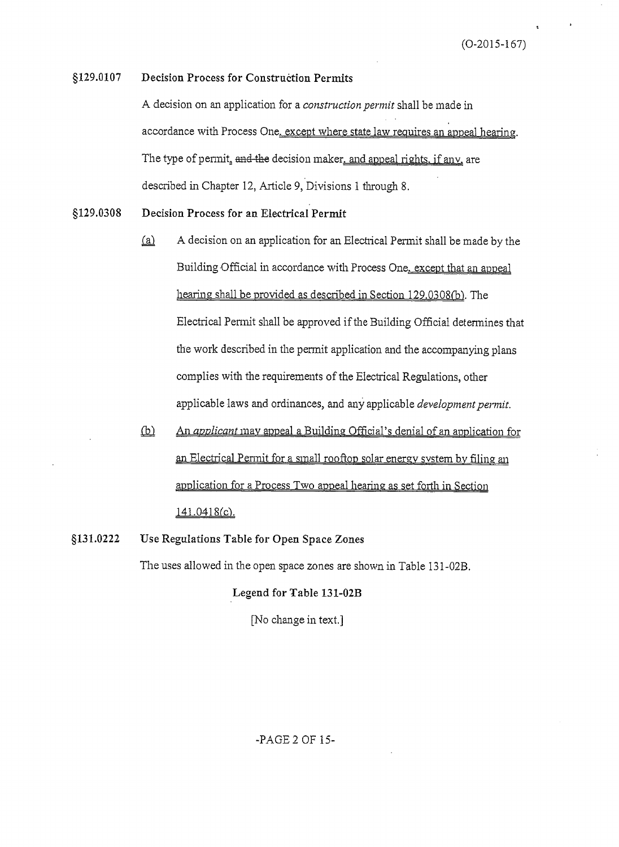$(O-2015-167)$ 

#### §129.0107 **Decision Process for Construction Permits**

A decision on an application for a *construction permit* shall be made in accordance with Process One, except where state law requires an appeal hearing. The type of permit, and the decision maker, and appeal rights, if any, are described in Chapter 12, Article 9, Divisions 1 through 8.

- §129.0308 Decision Process for an Electrical Permit
	- A decision on an application for an Electrical Permit shall be made by the  $(a)$ Building Official in accordance with Process One, except that an appeal hearing shall be provided as described in Section 129.0308(b). The Electrical Permit shall be approved if the Building Official determines that the work described in the permit application and the accompanying plans complies with the requirements of the Electrical Regulations, other applicable laws and ordinances, and any applicable development permit.
	- $\Phi$ An *applicant* may appeal a Building Official's denial of an application for an Electrical Permit for a small rooftop solar energy system by filing an application for a Process Two appeal hearing as set forth in Section 141.0418(c).
- §131.0222 Use Regulations Table for Open Space Zones

The uses allowed in the open space zones are shown in Table 131-02B.

#### Legend for Table 131-02B

[No change in text.]

### -PAGE 2 OF 15-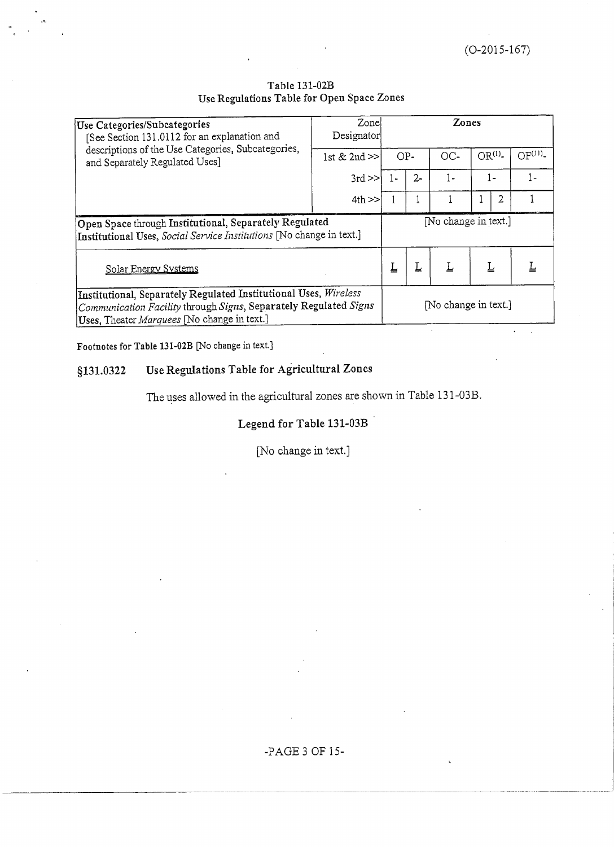| Table 131-02B                              |
|--------------------------------------------|
| Use Regulations Table for Open Space Zones |

| Use Categories/Subcategories<br>[See Section 131.0112 for an explanation and                                                                                                        | Zonel<br>Designator |       |       | Zones                |                   |                    |
|-------------------------------------------------------------------------------------------------------------------------------------------------------------------------------------|---------------------|-------|-------|----------------------|-------------------|--------------------|
| descriptions of the Use Categories, Subcategories,<br>and Separately Regulated Uses]                                                                                                | 1st $& 2nd \geq$    | $OP-$ |       | OC-                  | OR <sup>(1)</sup> | OF <sup>(11)</sup> |
|                                                                                                                                                                                     | $3rd \gg$           |       | $2 -$ | $1 -$                | $1 -$             | $1 -$              |
|                                                                                                                                                                                     | $4th$ >>            |       |       |                      | 2                 |                    |
| Open Space through Institutional, Separately Regulated<br>Institutional Uses, Social Service Institutions [No change in text.]                                                      |                     |       |       | No change in text.]  |                   |                    |
| Solar Energy Systems                                                                                                                                                                |                     |       |       | Ţ                    | Ţ                 |                    |
| Institutional, Separately Regulated Institutional Uses, Wireless<br>Communication Facility through Signs, Separately Regulated Signs<br>Uses, Theater Marquees [No change in text.] |                     |       |       | [No change in text.] |                   |                    |

Footnotes for Table 131-02B [No change in text.]

#### Use Regulations Table for Agricultural Zones §131.0322

The uses allowed in the agricultural zones are shown in Table 131-03B.

# Legend for Table 131-03B

[No change in text.]

-PAGE 3 OF 15-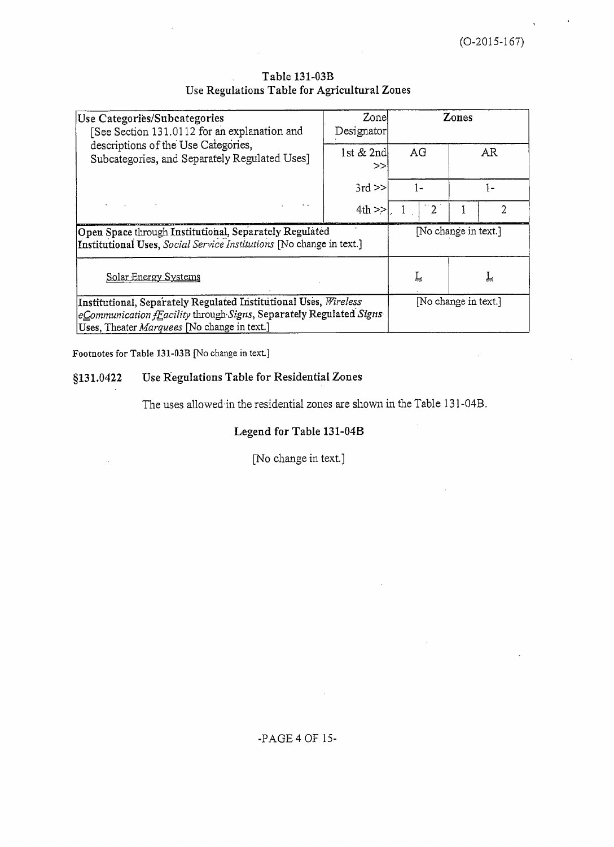$(O-2015-167)$ 

| Use Categories/Subcategories<br>See Section 131.0112 for an explanation and                                                                                                                            | Zonel<br>Designator |                      | Zones                |
|--------------------------------------------------------------------------------------------------------------------------------------------------------------------------------------------------------|---------------------|----------------------|----------------------|
| descriptions of the Use Categories,<br>Subcategories, and Separately Regulated Uses]                                                                                                                   | 1st & 2nd<br>>>     | AG                   | AR                   |
|                                                                                                                                                                                                        | $3rd \ge$           | 1-                   | l –                  |
| and the company of the                                                                                                                                                                                 | $4th$ >>            |                      | 2                    |
| Open Space through Institutional, Separately Regulated<br>Institutional Uses, Social Service Institutions [No change in text.]                                                                         |                     |                      | [No change in text.] |
| Solar Energy Systems                                                                                                                                                                                   | 느                   | 느                    |                      |
| Institutional, Separately Regulated Institutional Uses, Wireless<br>$ e\subseteq$ ommunication fEacility through Signs, Separately Regulated Signs<br>Uses. Theater <i>Marquees</i> No change in text. |                     | [No change in text.] |                      |

## Table 131-03B Use Regulations Table for Agricultural Zones

Footnotes for Table 131-03B [No change in text.]

#### Use Regulations Table for Residential Zones §131.0422

The uses allowed in the residential zones are shown in the Table 131-04B.

# Legend for Table 131-04B

[No change in text.]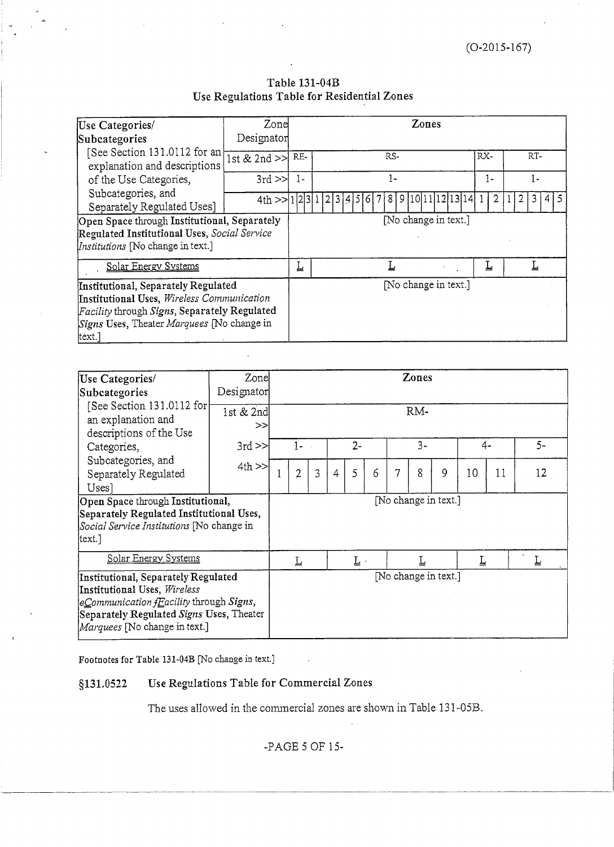## Table 131-04B Use Regulations Table for Residential Zones

| Use Categories/                                               | Zone           |                      | Zones                                             |      |             |  |  |  |  |  |
|---------------------------------------------------------------|----------------|----------------------|---------------------------------------------------|------|-------------|--|--|--|--|--|
| Subcategories                                                 | Designator     |                      |                                                   |      |             |  |  |  |  |  |
| [See Section 131.0112 for an]<br>explanation and descriptions | 1st & 2nd $>>$ | RE-                  | RS-                                               | RX-  | RT-         |  |  |  |  |  |
| of the Use Categories,                                        | $3rd \geq$     | $1-$                 | $1 -$                                             | $1-$ | 1-          |  |  |  |  |  |
| Subcategories, and<br>Separately Regulated Uses]              |                |                      | $4th$ >>[1 2 3 1 2 3 4 5 6 7 8 9 10 11 12 13 14 1 | 2    | 3<br>2<br>4 |  |  |  |  |  |
| Open Space through Institutional, Separately                  |                |                      | [No change in text.]                              |      |             |  |  |  |  |  |
| Regulated Institutional Uses, Social Service                  |                |                      |                                                   |      |             |  |  |  |  |  |
| Institutions [No change in text.]                             |                |                      |                                                   |      |             |  |  |  |  |  |
| Solar Energy Systems                                          |                | ᆂ                    |                                                   | ≚    |             |  |  |  |  |  |
| Institutional, Separately Regulated                           |                | [No change in text.] |                                                   |      |             |  |  |  |  |  |
| Institutional Uses, Wireless Communication                    |                |                      |                                                   |      |             |  |  |  |  |  |
| <i>Facility</i> through <i>Signs</i> , Separately Regulated   |                |                      |                                                   |      |             |  |  |  |  |  |
| Signs Uses, Theater Marquees [No change in                    |                |                      |                                                   |      |             |  |  |  |  |  |
| text.]                                                        |                |                      |                                                   |      |             |  |  |  |  |  |

| Use Categories/<br>Subcategories                                                                                                                                                               | Designator        | Zone<br>Zones        |                |   |                |                            |   |   |       |                      |    |    |      |
|------------------------------------------------------------------------------------------------------------------------------------------------------------------------------------------------|-------------------|----------------------|----------------|---|----------------|----------------------------|---|---|-------|----------------------|----|----|------|
| [See Section 131.0112 for<br>an explanation and<br>descriptions of the Use                                                                                                                     | 1st $& 2nd$<br>>> | RM-                  |                |   |                |                            |   |   |       |                      |    |    |      |
| Categories,                                                                                                                                                                                    | $3rd \ge$         |                      | 1-             |   |                | $2 -$                      |   |   | $3 -$ |                      | 4- |    | $5-$ |
| Subcategories, and<br>Separately Regulated<br>Uses]                                                                                                                                            | $4th$ >>          |                      | $\overline{2}$ | 3 | $\overline{4}$ | 5                          | 6 | 7 | 8     | 9                    | 10 | 11 | 12   |
| Open Space through Institutional,<br>Separately Regulated Institutional Uses,<br>Social Service Institutions [No change in<br> text.]                                                          |                   |                      |                |   |                |                            |   |   |       | [No change in text.] |    |    |      |
| Solar Energy Systems                                                                                                                                                                           |                   |                      | Ţ              |   |                | $\underline{\textrm{L}}$ . |   |   |       |                      | Ţ  |    | Ţ    |
| Institutional, Separately Regulated<br>Institutional Uses, Wireless<br>$ eCommunication fEacility through Signs,$<br>Separately Regulated Signs Uses, Theater<br>Marquees [No change in text.] |                   | [No change in text.] |                |   |                |                            |   |   |       |                      |    |    |      |

Footnotes for Table 131-04B [No change in text.]

#### Use Regulations Table for Commercial Zones §131.0522

The uses allowed in the commercial zones are shown in Table 131-05B.

-PAGE 5 OF 15-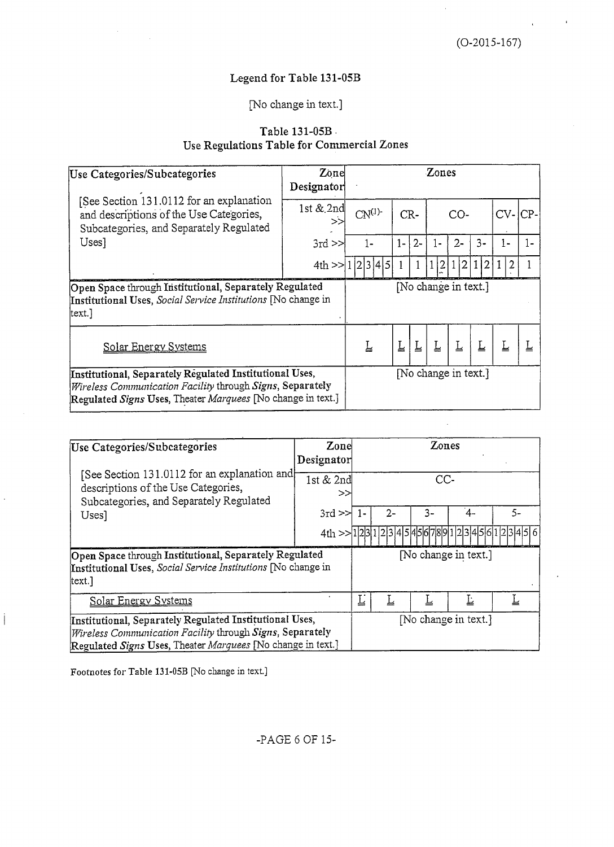# Legend for Table 131-05B

# [No change in text.]

# Table 131-05B Use Regulations Table for Commercial Zones

| Use Categories/Subcategories                                                                                                                                                        | Zone<br>Designator |  |            |       |       | Zones       |                      |                |                |      |
|-------------------------------------------------------------------------------------------------------------------------------------------------------------------------------------|--------------------|--|------------|-------|-------|-------------|----------------------|----------------|----------------|------|
| [See Section 131.0112 for an explanation<br>and descriptions of the Use Categories,<br>Subcategories, and Separately Regulated                                                      | 1st $&$ 2nd<br>>>  |  | $CN^{(1)}$ |       | $CR-$ |             | CO-                  |                | $CV-ICP-$      |      |
| Uses]                                                                                                                                                                               | $3rd \geq \geq$    |  | $1 -$      | $1 -$ | $2 -$ | 1-          | $2 -$                | $3-$           | $1 -$          | $1-$ |
|                                                                                                                                                                                     | 4th>>11            |  | 2 3 4 5    |       |       | $ 2\rangle$ | 1 2                  | $\overline{2}$ | $\overline{2}$ |      |
| Open Space through Institutional, Separately Regulated<br>Institutional Uses, Social Service Institutions No change in<br> text.]                                                   |                    |  |            |       |       |             | [No change in text.] |                |                |      |
| Solar Energy Systems                                                                                                                                                                |                    |  | Ŀ          | Ţ     |       | Ţ           | Ţ                    |                |                |      |
| Institutional, Separately Regulated Institutional Uses,<br>Wireless Communication Facility through Signs, Separately<br>Regulated Signs Uses, Theater Marquees [No change in text.] |                    |  |            |       |       |             | [No change in text.] |                |                |      |

| Use Categories/Subcategories                                                                                                                                                               | Zonel<br>Designator |   |      | Zones                |                      |                                         |  |
|--------------------------------------------------------------------------------------------------------------------------------------------------------------------------------------------|---------------------|---|------|----------------------|----------------------|-----------------------------------------|--|
| [See Section 131.0112 for an explanation and]<br>descriptions of the Use Categories,<br>Subcategories, and Separately Regulated<br>Uses]                                                   | 1st $& 2nd$<br>>>   |   | CC-  |                      |                      |                                         |  |
|                                                                                                                                                                                            | $3rd \geq 1$        |   | $2-$ | 3-                   | ΄4-                  | $5-$                                    |  |
|                                                                                                                                                                                            |                     |   |      |                      |                      | $4t_1 > 123112345454567891234561234161$ |  |
| Open Space through Institutional, Separately Regulated<br>Institutional Uses, Social Service Institutions [No change in<br>text.]                                                          |                     |   |      | [No change in text.] |                      |                                         |  |
| Solar Energy Systems                                                                                                                                                                       |                     | 느 |      |                      | Ŀ                    |                                         |  |
| Institutional, Separately Regulated Institutional Uses,<br><i>Wireless Communication Facility through Signs, Separately</i><br>Regulated Signs Uses, Theater Marquees [No change in text.] |                     |   |      |                      | [No change in text.] |                                         |  |

Footnotes for Table 131-05B [No change in text.]

j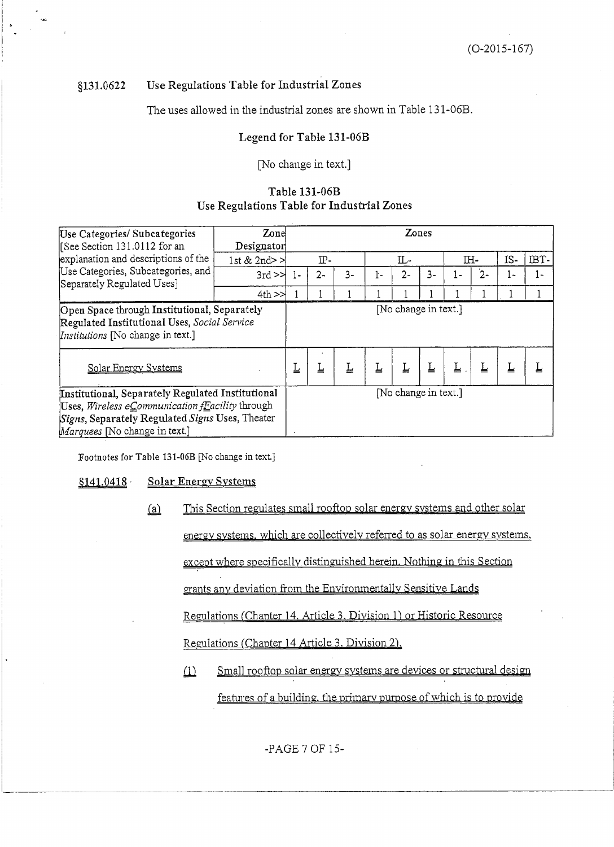#### Use Regulations Table for Industrial Zones 8131.0622

The uses allowed in the industrial zones are shown in Table 131-06B.

## Legend for Table 131-06B

### [No change in text.]

## Table 131-06B Use Regulations Table for Industrial Zones

| Use Categories/ Subcategories<br>See Section 131.0112 for an                                                                                                                             | Zone<br>Designator |              |       |      |    | Zones                |    |     |       |     |      |
|------------------------------------------------------------------------------------------------------------------------------------------------------------------------------------------|--------------------|--------------|-------|------|----|----------------------|----|-----|-------|-----|------|
| explanation and descriptions of the                                                                                                                                                      | 1st & 2nd $\geq$   |              | $IP-$ |      |    | Ш-                   |    | IH- |       | IS- | IBT- |
| Use Categories, Subcategories, and<br>Separately Regulated Uses]                                                                                                                         | $3rd \geq \geq$    | $\mathbf{1}$ | $2 -$ | $3-$ | ŀ- | $2 -$                | 3- | ŀ.  | $2 -$ | ŀ-  | 1-   |
|                                                                                                                                                                                          | $4th$ $>$          |              |       |      |    |                      |    |     |       |     |      |
| Open Space through Institutional, Separately<br>Regulated Institutional Uses, Social Service<br><i>Institutions</i> [No change in text.]                                                 |                    |              |       |      |    | [No change in text.] |    |     |       |     |      |
| Solar Energy Systems                                                                                                                                                                     |                    | Ţ            | Ţ     | Ţ    | Ţ  | Ţ                    | ∐  | Ŀ   | Ŀ     | Ŀ   | یل   |
| Institutional, Separately Regulated Institutional<br>Uses, Wireless eCommunication fEacility through<br>Signs, Separately Regulated Signs Uses, Theater<br>Marquees [No change in text.] |                    |              |       |      |    | [No change in text.] |    |     |       |     |      |

Footnotes for Table 131-06B [No change in text.]

#### $$141.0418$ **Solar Energy Systems**

- This Section regulates small rooftop solar energy systems and other solar  $(a)$ energy systems, which are collectively referred to as solar energy systems. except where specifically distinguished herein. Nothing in this Section grants any deviation from the Environmentally Sensitive Lands Regulations (Chapter 14. Article 3. Division 1) or Historic Resource Regulations (Chapter 14 Article 3. Division 2).
	- Small rooftop solar energy systems are devices or structural design  $\Omega$ features of a building, the primary purpose of which is to provide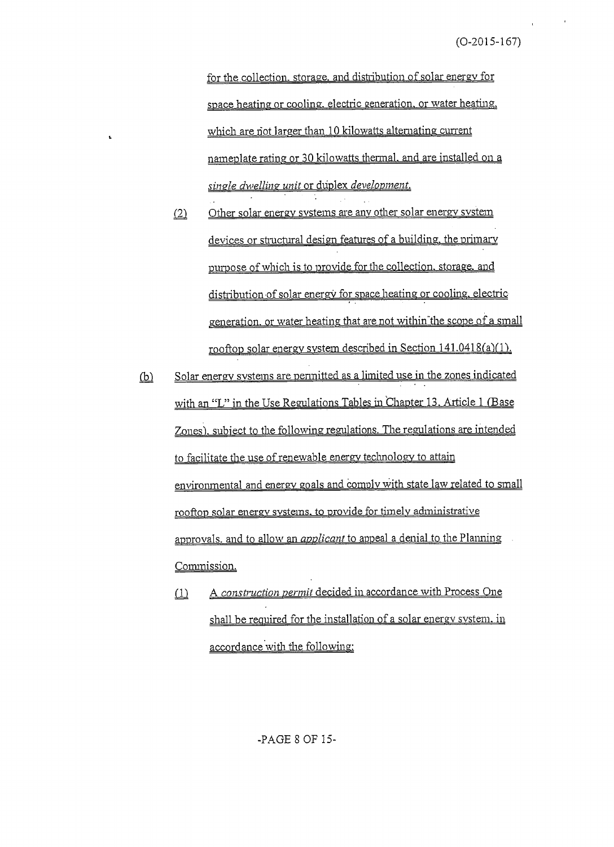for the collection, storage, and distribution of solar energy for space heating or cooling, electric generation, or water heating, which are not larger than 10 kilowatts alternating current nameplate rating or 30 kilowatts thermal, and are installed on a single dwelling unit or duplex development.

L

- Other solar energy systems are any other solar energy system  $(2)$ devices or structural design features of a building, the primary purpose of which is to provide for the collection, storage, and distribution of solar energy for space heating or cooling, electric generation, or water heating that are not within the scope of a small rooftop solar energy system described in Section 141.0418(a)(1).
- Solar energy systems are permitted as a limited use in the zones indicated  $\overline{\mathbb{P}}$ with an "L" in the Use Regulations Tables in Chapter 13. Article 1 (Base Zones), subject to the following regulations. The regulations are intended to facilitate the use of renewable energy technology to attain environmental and energy goals and comply with state law related to small rooftop solar energy systems, to provide for timely administrative approvals. and to allow an *applicant* to appeal a denial to the Planning Commission.
	- A construction permit decided in accordance with Process One  $\omega$ shall be required for the installation of a solar energy system. in accordance with the following:

-PAGE 8 OF 15-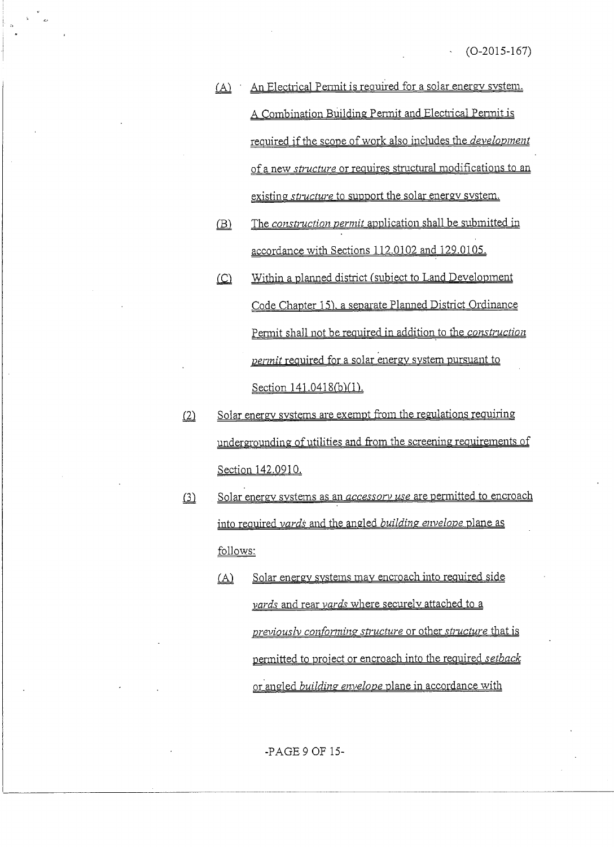- An Electrical Permit is required for a solar energy system.  $(A)$ A Combination Building Permit and Electrical Permit is required if the scope of work also includes the *development* of a new *structure* or requires structural modifications to an existing *structure* to support the solar energy system.
- The construction permit application shall be submitted in  $(B)$ accordance with Sections 112.0102 and 129.0105.
- Within a planned district (subject to Land Development  $($  $C)$ Code Chapter 15), a separate Planned District Ordinance Permit shall not be required in addition to the construction permit required for a solar energy system pursuant to Section 141.0418(b)(1).
- Solar energy systems are exempt from the regulations requiring  $(2)$ undergrounding of utilities and from the screening requirements of Section 142.0910.
- Solar energy systems as an *accessory use* are permitted to encroach  $\Omega$ into required vards and the angled building envelope plane as follows:
	- Solar energy systems may encroach into required side  $(A)$ vards and rear vards where securely attached to a previously conforming structure or other structure that is permitted to project or encroach into the required setback or angled *building envelope* plane in accordance with

 $-PAGE9$  OF 15 $-$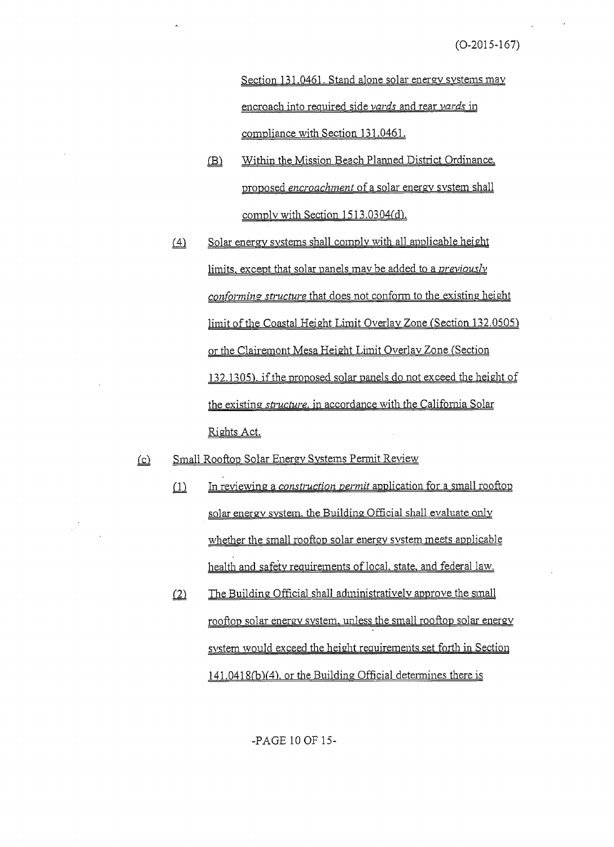Section 131.0461. Stand alone solar energy systems may encroach into required side vards and rear vards in compliance with Section 131.0461.

- Within the Mission Beach Planned District Ordinance.  $(B)$ proposed encroachment of a solar energy system shall comply with Section 1513.0304(d).
- $(4)$ Solar energy systems shall comply with all applicable height limits, except that solar panels may be added to a *previously conforming structure* that does not conform to the existing height limit of the Coastal Height Limit Overlay Zone (Section 132.0505) or the Clairemont Mesa Height Limit Overlay Zone (Section 132.1305), if the proposed solar panels do not exceed the height of the existing *structure*, in accordance with the California Solar Rights Act.
- Small Rooftop Solar Energy Systems Permit Review  $(c)$ 
	- In reviewing a *construction permit* application for a small rooftop  $\omega$ solar energy system, the Building Official shall evaluate only whether the small rooftop solar energy system meets applicable health and safety requirements of local, state, and federal law.
	- $(2)$ The Building Official shall administratively approve the small rooftop solar energy system, unless the small rooftop solar energy system would exceed the height requirements set forth in Section 141.0418(b)(4), or the Building Official determines there is

-PAGE 10 OF 15-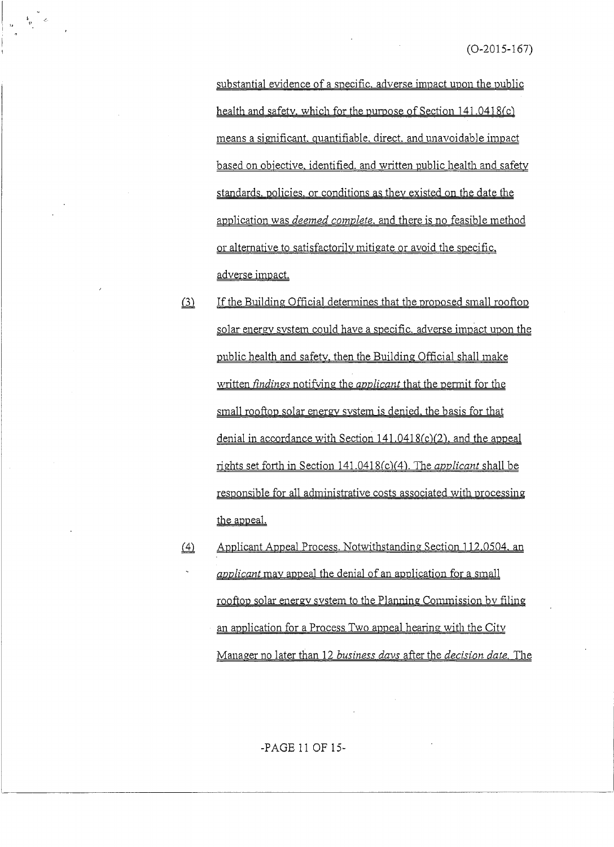substantial evidence of a specific, adverse impact upon the public health and safety, which for the purpose of Section 141.0418(c) means a significant, quantifiable, direct, and unavoidable impact based on objective, identified, and written public health and safety standards, policies, or conditions as they existed on the date the application was *deemed complete*, and there is no feasible method or alternative to satisfactorily mitigate or avoid the specific, adverse impact.

- If the Building Official determines that the proposed small rooftop  $(3)$ solar energy system could have a specific, adverse impact upon the public health and safety, then the Building Official shall make written *findings* notifying the *applicant* that the permit for the small rooftop solar energy system is denied, the basis for that denial in accordance with Section 141.0418(c)(2), and the appeal rights set forth in Section 141.0418(c)(4). The *applicant* shall be responsible for all administrative costs associated with processing the appeal.
- $(4)$ Applicant Appeal Process. Notwithstanding Section 112.0504, an *applicant* may appeal the denial of an application for a small rooftop solar energy system to the Planning Commission by filing an application for a Process Two appeal hearing with the City Manager no later than 12 business days after the decision date. The

-PAGE 11 OF 15-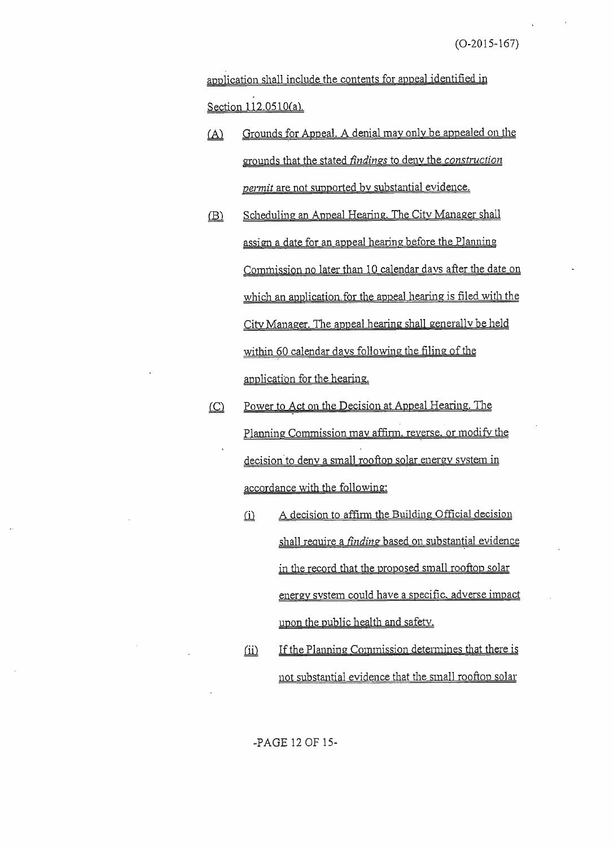application shall include the contents for appeal identified in Section 112.0510(a).

- Grounds for Appeal. A denial may only be appealed on the  $(\Delta)$ grounds that the stated *findings* to deny the *construction permit* are not supported by substantial evidence.
- Scheduling an Appeal Hearing. The City Manager shall  $(B)$ assign a date for an appeal hearing before the Planning Commission no later than 10 calendar days after the date on which an application for the appeal hearing is filed with the City Manager. The appeal hearing shall generally be held within 60 calendar days following the filing of the application for the hearing.
- Power to Act on the Decision at Appeal Hearing. The  $\circ$ Planning Commission may affirm, reverse, or modify the decision to deny a small rooftop solar energy system in accordance with the following:
	- A decision to affirm the Building Official decision  $(i)$ shall require a *finding* based on substantial evidence in the record that the proposed small rooftop solar energy system could have a specific, adverse impact upon the public health and safety.
	- If the Planning Commission determines that there is  $\omega$ not substantial evidence that the small rooftop solar

-PAGE 12 OF 15-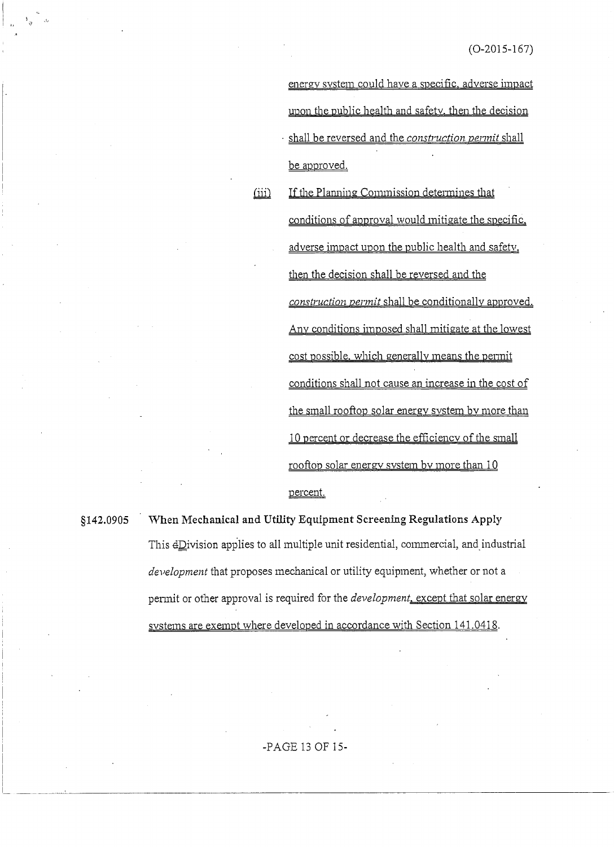energy system could have a specific, adverse impact upon the public health and safety, then the decision shall be reversed and the construction permit shall be approved.

If the Planning Commission determines that conditions of approval would mitigate the specific. adverse impact upon the public health and safety. then the decision shall be reversed and the construction permit shall be conditionally approved. Any conditions imposed shall mitigate at the lowest cost possible, which generally means the permit conditions shall not cause an increase in the cost of the small rooftop solar energy system by more than 10 percent or decrease the efficiency of the small rooftop solar energy system by more than 10 percent.

## \$142.0905

When Mechanical and Utility Equipment Screening Regulations Apply This dDivision applies to all multiple unit residential, commercial, and industrial development that proposes mechanical or utility equipment, whether or not a permit or other approval is required for the *development*, except that solar energy systems are exempt where developed in accordance with Section 141.0418.

 $(iii)$ 

### -PAGE 13 OF 15-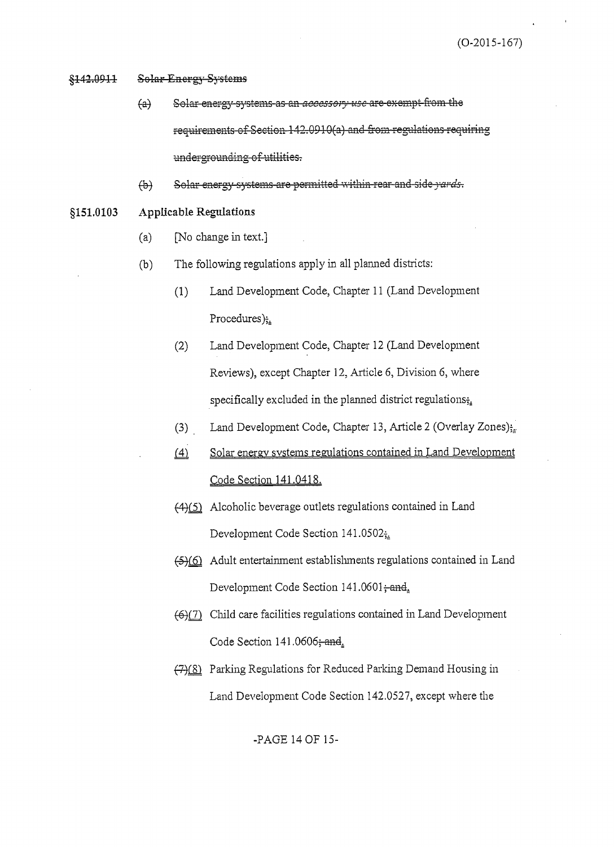#### <del>§142.0911</del> **Solar Energy Systems**

- Solar-energy-systems-as-an-accessory-use-are-exempt-from the  $\leftrightarrow$ requirements of Section 142.0910(a) and from regulations requiring undergrounding of utilities.
- Solar energy systems are permitted within rear and side yards.  $\bigoplus$
- \$151,0103 **Applicable Regulations** 
	- [No change in text.]  $(a)$
	- The following regulations apply in all planned districts:  $(b)$ 
		- $(1)$ Land Development Code, Chapter 11 (Land Development Procedures);
		- $(2)$ Land Development Code, Chapter 12 (Land Development Reviews), except Chapter 12, Article 6, Division 6, where specifically excluded in the planned district regulations;
		- $(3)$ Land Development Code, Chapter 13, Article 2 (Overlay Zones);
		- $(4)$ Solar energy systems regulations contained in Land Development Code Section 141.0418.
		- (4)(5) Alcoholic beverage outlets regulations contained in Land Development Code Section 141.0502;
		- (5)(6) Adult entertainment establishments regulations contained in Land Development Code Section 141.0601; and
		- (6)(7) Child care facilities regulations contained in Land Development Code Section 141.0606; and.
		- (7)(8) Parking Regulations for Reduced Parking Demand Housing in Land Development Code Section 142.0527, except where the

-PAGE 14 OF 15-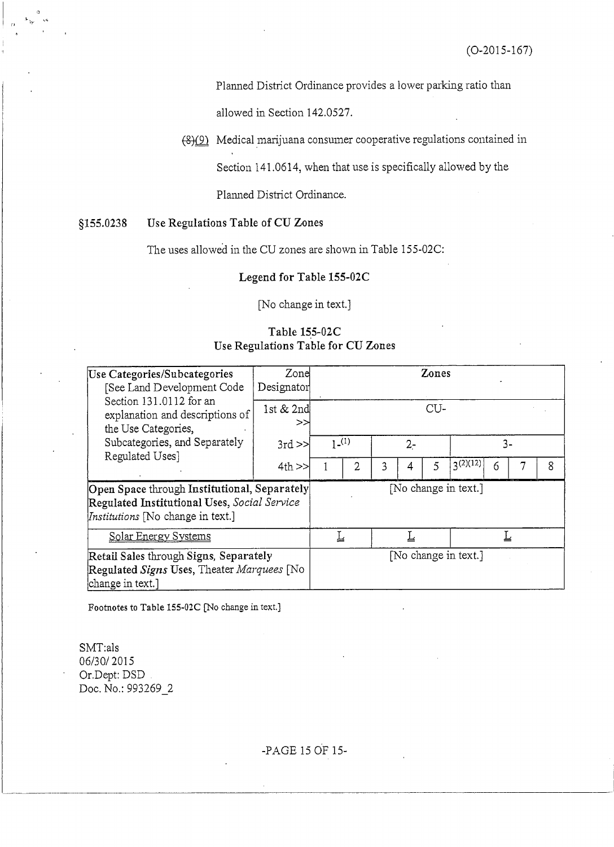Planned District Ordinance provides a lower parking ratio than

allowed in Section 142.0527.

(8)(9) Medical marijuana consumer cooperative regulations contained in

Section 141.0614, when that use is specifically allowed by the

Planned District Ordinance.

#### \$155.0238 Use Regulations Table of CU Zones

The uses allowed in the CU zones are shown in Table 155-02C:

### Legend for Table 155-02C

[No change in text.]

## Table 155-02C Use Regulations Table for CU Zones

| Use Categories/Subcategories<br>[See Land Development Code                                                                               | Zone<br>Designator |         |                      |       |   | Zones |                      |   |  |   |
|------------------------------------------------------------------------------------------------------------------------------------------|--------------------|---------|----------------------|-------|---|-------|----------------------|---|--|---|
| Section 131.0112 for an<br>explanation and descriptions of<br>the Use Categories,                                                        | 1st & 2nd<br>>>    | $CU-$   |                      |       |   |       |                      |   |  |   |
| Subcategories, and Separately                                                                                                            | $3rd \gg$          | $1-(1)$ |                      | $2 -$ |   |       | 3-                   |   |  |   |
| Regulated Uses]                                                                                                                          | $4th$ $>$          |         | $\overline{2}$       | 3     | 4 | 5     | 2(12)                | 6 |  | 8 |
| Open Space through Institutional, Separately<br>Regulated Institutional Uses, Social Service<br><i>Institutions</i> [No change in text.] |                    |         |                      |       |   |       | [No change in text.] |   |  |   |
| Solar Energy Systems                                                                                                                     |                    |         | L<br>╩               |       |   |       |                      |   |  |   |
| Retail Sales through Signs, Separately<br>Regulated Signs Uses, Theater Marquees [No<br>change in text.]                                 |                    |         | [No change in text.] |       |   |       |                      |   |  |   |

Footnotes to Table 155-02C [No change in text.]

SMT:als 06/30/2015 Or.Dept: DSD Doc. No.: 993269\_2

-PAGE 15 OF 15-